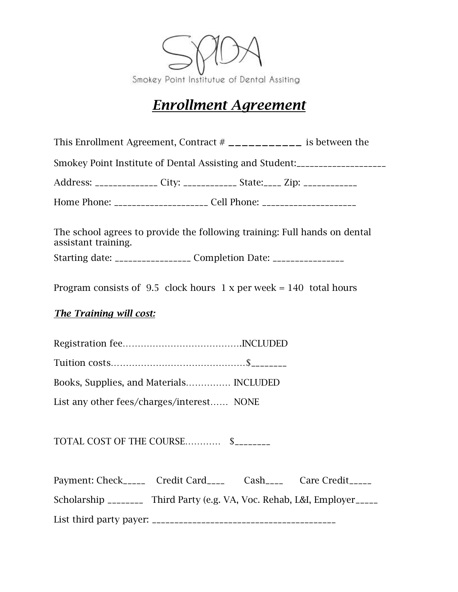

# *Enrollment Agreement*

This Enrollment Agreement, Contract # \_\_\_\_\_\_\_\_\_\_\_ is between the

Smokey Point Institute of Dental Assisting and Student:\_\_\_\_\_\_\_\_\_\_\_\_\_\_\_\_\_\_\_\_

Address: \_\_\_\_\_\_\_\_\_\_\_\_\_\_ City: \_\_\_\_\_\_\_\_\_\_\_\_\_\_ State: \_\_\_\_\_ Zip: \_\_\_\_\_\_\_\_\_\_\_\_\_\_\_\_\_

Home Phone: \_\_\_\_\_\_\_\_\_\_\_\_\_\_\_\_\_\_\_\_\_ Cell Phone: \_\_\_\_\_\_\_\_\_\_\_\_\_\_\_\_\_\_\_\_\_\_\_\_\_\_\_\_\_\_\_\_\_\_\_

The school agrees to provide the following training: Full hands on dental assistant training. Starting date: \_\_\_\_\_\_\_\_\_\_\_\_\_\_\_\_\_\_\_ Completion Date: \_\_\_\_\_\_\_\_\_\_\_\_\_\_\_\_\_\_\_\_\_\_\_\_\_\_\_\_\_

Program consists of 9.5 clock hours  $1 \times per$  week = 140 total hours

# *The Training will cost:*

Registration fee………………………………….INCLUDED Tuition costs………………………………………\$\_\_\_\_\_\_\_\_

Books, Supplies, and Materials…………… INCLUDED

List any other fees/charges/interest…… NONE

TOTAL COST OF THE COURSE………… \$\_\_\_\_\_\_\_\_

| Payment: Check_____ Credit Card____ Cash____ Care Credit_____               |  |  |
|-----------------------------------------------------------------------------|--|--|
| Scholarship _________ Third Party (e.g. VA, Voc. Rehab, L&I, Employer _____ |  |  |
| List third party payer: $\frac{1}{2}$                                       |  |  |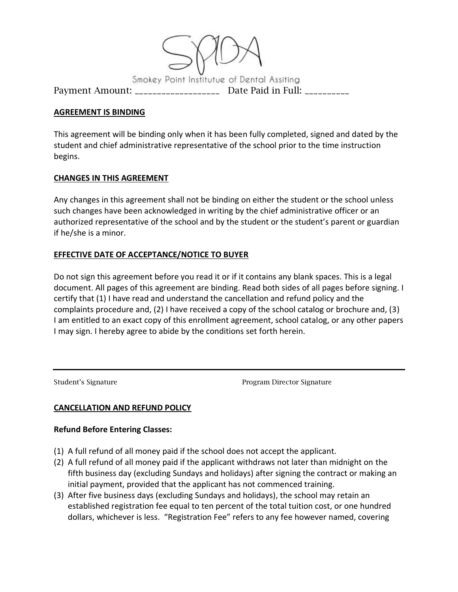

#### **AGREEMENT IS BINDING**

This agreement will be binding only when it has been fully completed, signed and dated by the student and chief administrative representative of the school prior to the time instruction begins.

## **CHANGES IN THIS AGREEMENT**

Any changes in this agreement shall not be binding on either the student or the school unless such changes have been acknowledged in writing by the chief administrative officer or an authorized representative of the school and by the student or the student's parent or guardian if he/she is a minor.

## **EFFECTIVE DATE OF ACCEPTANCE/NOTICE TO BUYER**

Do not sign this agreement before you read it or if it contains any blank spaces. This is a legal document. All pages of this agreement are binding. Read both sides of all pages before signing. I certify that (1) I have read and understand the cancellation and refund policy and the complaints procedure and, (2) I have received a copy of the school catalog or brochure and, (3) I am entitled to an exact copy of this enrollment agreement, school catalog, or any other papers I may sign. I hereby agree to abide by the conditions set forth herein.

Student's Signature Program Director Signature

## **CANCELLATION AND REFUND POLICY**

#### **Refund Before Entering Classes:**

- (1) A full refund of all money paid if the school does not accept the applicant.
- (2) A full refund of all money paid if the applicant withdraws not later than midnight on the fifth business day (excluding Sundays and holidays) after signing the contract or making an initial payment, provided that the applicant has not commenced training.
- (3) After five business days (excluding Sundays and holidays), the school may retain an established registration fee equal to ten percent of the total tuition cost, or one hundred dollars, whichever is less. "Registration Fee" refers to any fee however named, covering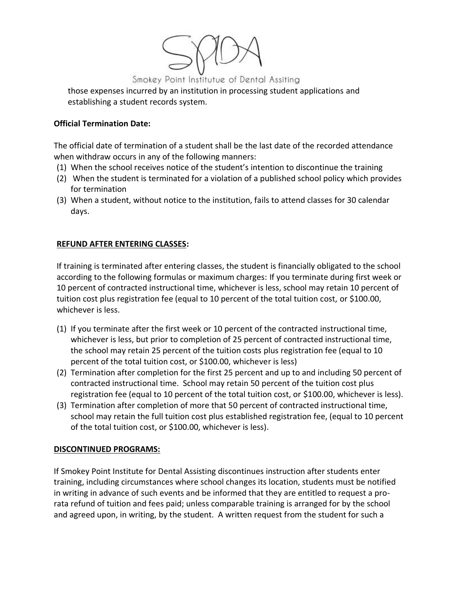

those expenses incurred by an institution in processing student applications and establishing a student records system.

#### **Official Termination Date:**

The official date of termination of a student shall be the last date of the recorded attendance when withdraw occurs in any of the following manners:

- (1) When the school receives notice of the student's intention to discontinue the training
- (2) When the student is terminated for a violation of a published school policy which provides for termination
- (3) When a student, without notice to the institution, fails to attend classes for 30 calendar days.

## **REFUND AFTER ENTERING CLASSES:**

If training is terminated after entering classes, the student is financially obligated to the school according to the following formulas or maximum charges: If you terminate during first week or 10 percent of contracted instructional time, whichever is less, school may retain 10 percent of tuition cost plus registration fee (equal to 10 percent of the total tuition cost, or \$100.00, whichever is less.

- (1) If you terminate after the first week or 10 percent of the contracted instructional time, whichever is less, but prior to completion of 25 percent of contracted instructional time, the school may retain 25 percent of the tuition costs plus registration fee (equal to 10 percent of the total tuition cost, or \$100.00, whichever is less)
- (2) Termination after completion for the first 25 percent and up to and including 50 percent of contracted instructional time. School may retain 50 percent of the tuition cost plus registration fee (equal to 10 percent of the total tuition cost, or \$100.00, whichever is less).
- (3) Termination after completion of more that 50 percent of contracted instructional time, school may retain the full tuition cost plus established registration fee, (equal to 10 percent of the total tuition cost, or \$100.00, whichever is less).

## **DISCONTINUED PROGRAMS:**

If Smokey Point Institute for Dental Assisting discontinues instruction after students enter training, including circumstances where school changes its location, students must be notified in writing in advance of such events and be informed that they are entitled to request a prorata refund of tuition and fees paid; unless comparable training is arranged for by the school and agreed upon, in writing, by the student. A written request from the student for such a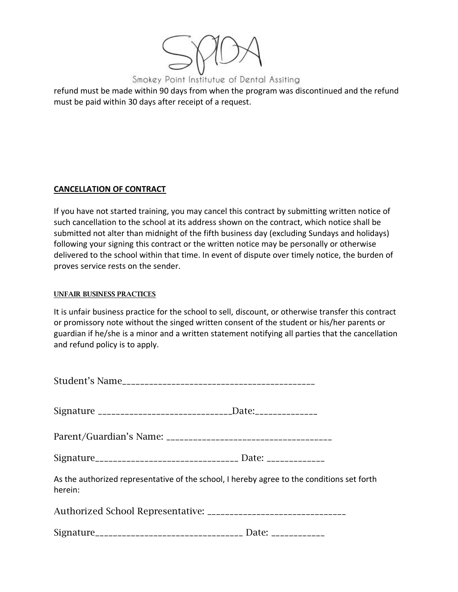

refund must be made within 90 days from when the program was discontinued and the refund must be paid within 30 days after receipt of a request.

## **CANCELLATION OF CONTRACT**

If you have not started training, you may cancel this contract by submitting written notice of such cancellation to the school at its address shown on the contract, which notice shall be submitted not alter than midnight of the fifth business day (excluding Sundays and holidays) following your signing this contract or the written notice may be personally or otherwise delivered to the school within that time. In event of dispute over timely notice, the burden of proves service rests on the sender.

#### UNFAIR BUSINESS PRACTICES

It is unfair business practice for the school to sell, discount, or otherwise transfer this contract or promissory note without the singed written consent of the student or his/her parents or guardian if he/she is a minor and a written statement notifying all parties that the cancellation and refund policy is to apply.

| Signature __________________________________Date:________________________________ |                                                                                            |
|-----------------------------------------------------------------------------------|--------------------------------------------------------------------------------------------|
|                                                                                   |                                                                                            |
| Signature_________________________________ Date: ________________________________ |                                                                                            |
| herein:                                                                           | As the authorized representative of the school, I hereby agree to the conditions set forth |
|                                                                                   |                                                                                            |
| Signature___________________________________ Date: _____________                  |                                                                                            |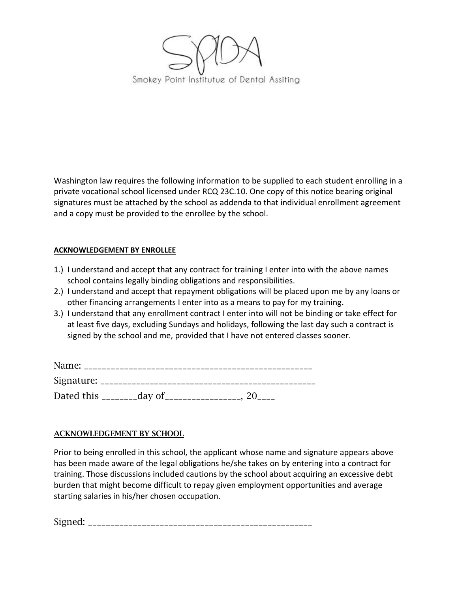

Washington law requires the following information to be supplied to each student enrolling in a private vocational school licensed under RCQ 23C.10. One copy of this notice bearing original signatures must be attached by the school as addenda to that individual enrollment agreement and a copy must be provided to the enrollee by the school.

## **ACKNOWLEDGEMENT BY ENROLLEE**

- 1.) I understand and accept that any contract for training I enter into with the above names school contains legally binding obligations and responsibilities.
- 2.) I understand and accept that repayment obligations will be placed upon me by any loans or other financing arrangements I enter into as a means to pay for my training.
- 3.) I understand that any enrollment contract I enter into will not be binding or take effect for at least five days, excluding Sundays and holidays, following the last day such a contract is signed by the school and me, provided that I have not entered classes sooner.

| Name:            |          |  |
|------------------|----------|--|
| Signature:       |          |  |
| Dated this _____ | __day of |  |

## ACKNOWLEDGEMENT BY SCHOOL

Prior to being enrolled in this school, the applicant whose name and signature appears above has been made aware of the legal obligations he/she takes on by entering into a contract for training. Those discussions included cautions by the school about acquiring an excessive debt burden that might become difficult to repay given employment opportunities and average starting salaries in his/her chosen occupation.

Signed: \_\_\_\_\_\_\_\_\_\_\_\_\_\_\_\_\_\_\_\_\_\_\_\_\_\_\_\_\_\_\_\_\_\_\_\_\_\_\_\_\_\_\_\_\_\_\_\_\_\_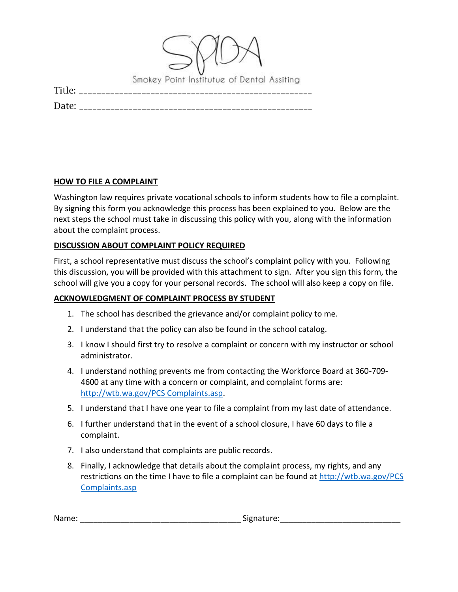|        | Smokey Point Institutue of Dental Assiting |
|--------|--------------------------------------------|
| Title: |                                            |
| Date:  |                                            |

#### **HOW TO FILE A COMPLAINT**

Washington law requires private vocational schools to inform students how to file a complaint. By signing this form you acknowledge this process has been explained to you. Below are the next steps the school must take in discussing this policy with you, along with the information about the complaint process.

#### **DISCUSSION ABOUT COMPLAINT POLICY REQUIRED**

First, a school representative must discuss the school's complaint policy with you. Following this discussion, you will be provided with this attachment to sign. After you sign this form, the school will give you a copy for your personal records. The school will also keep a copy on file.

## **ACKNOWLEDGMENT OF COMPLAINT PROCESS BY STUDENT**

- 1. The school has described the grievance and/or complaint policy to me.
- 2. I understand that the policy can also be found in the school catalog.
- 3. I know I should first try to resolve a complaint or concern with my instructor or school administrator.
- 4. I understand nothing prevents me from contacting the Workforce Board at 360-709- 4600 at any time with a concern or complaint, and complaint forms are: [http://wtb.wa.gov/PCS Complaints.asp.](http://wtb.wa.gov/PCS%20Complaints.asp)
- 5. I understand that I have one year to file a complaint from my last date of attendance.
- 6. I further understand that in the event of a school closure, I have 60 days to file a complaint.
- 7. I also understand that complaints are public records.
- 8. Finally, I acknowledge that details about the complaint process, my rights, and any restrictions on the time I have to file a complaint can be found at [http://wtb.wa.gov/PCS](http://wtb.wa.gov/PCS%20Complaints.asp)  [Complaints.asp](http://wtb.wa.gov/PCS%20Complaints.asp)

| Nan<br>. . | $\cdots$<br>. . |  |
|------------|-----------------|--|
|            |                 |  |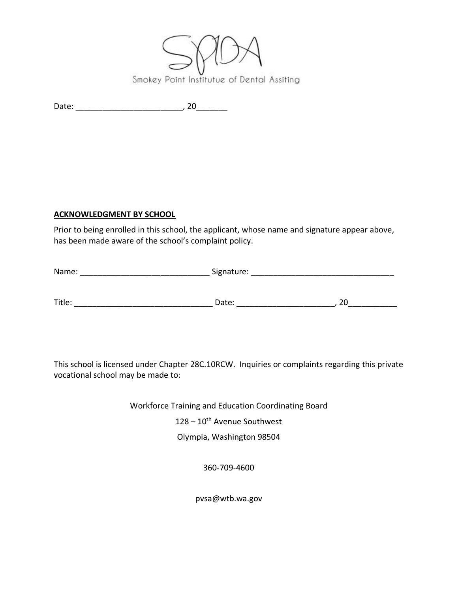

Date: \_\_\_\_\_\_\_\_\_\_\_\_\_\_\_\_\_\_\_\_\_\_\_\_, 20\_\_\_\_\_\_\_

# **ACKNOWLEDGMENT BY SCHOOL**

Prior to being enrolled in this school, the applicant, whose name and signature appear above, has been made aware of the school's complaint policy.

| Name:  | Signature: |    |  |
|--------|------------|----|--|
|        |            |    |  |
| Title: | Date:      | 20 |  |

This school is licensed under Chapter 28C.10RCW. Inquiries or complaints regarding this private vocational school may be made to:

Workforce Training and Education Coordinating Board

 $128 - 10$ <sup>th</sup> Avenue Southwest

Olympia, Washington 98504

360-709-4600

pvsa@wtb.wa.gov